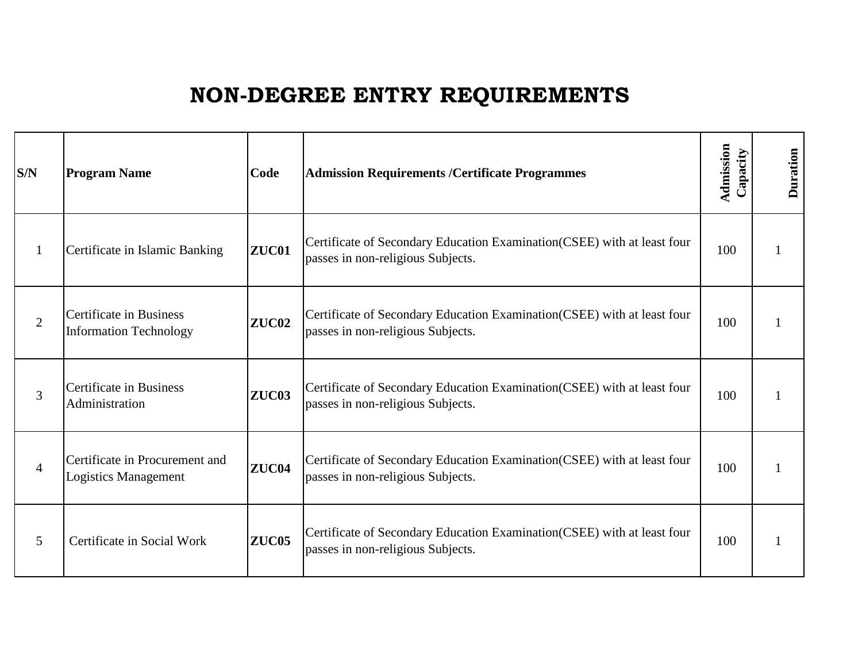## **NON-DEGREE ENTRY REQUIREMENTS**

| S/N            | <b>Program Name</b>                                             | Code         | <b>Admission Requirements /Certificate Programmes</b>                                                         | Admission<br>Capacity | <b>Duration</b> |
|----------------|-----------------------------------------------------------------|--------------|---------------------------------------------------------------------------------------------------------------|-----------------------|-----------------|
| $\mathbf{1}$   | Certificate in Islamic Banking                                  | ZUC01        | Certificate of Secondary Education Examination (CSEE) with at least four<br>passes in non-religious Subjects. | 100                   |                 |
| $\overline{2}$ | <b>Certificate in Business</b><br><b>Information Technology</b> | <b>ZUC02</b> | Certificate of Secondary Education Examination (CSEE) with at least four<br>passes in non-religious Subjects. | 100                   |                 |
| 3              | <b>Certificate in Business</b><br>Administration                | <b>ZUC03</b> | Certificate of Secondary Education Examination (CSEE) with at least four<br>passes in non-religious Subjects. | 100                   |                 |
| $\overline{4}$ | Certificate in Procurement and<br><b>Logistics Management</b>   | ZUC04        | Certificate of Secondary Education Examination (CSEE) with at least four<br>passes in non-religious Subjects. | 100                   |                 |
| 5              | Certificate in Social Work                                      | <b>ZUC05</b> | Certificate of Secondary Education Examination (CSEE) with at least four<br>passes in non-religious Subjects. | 100                   |                 |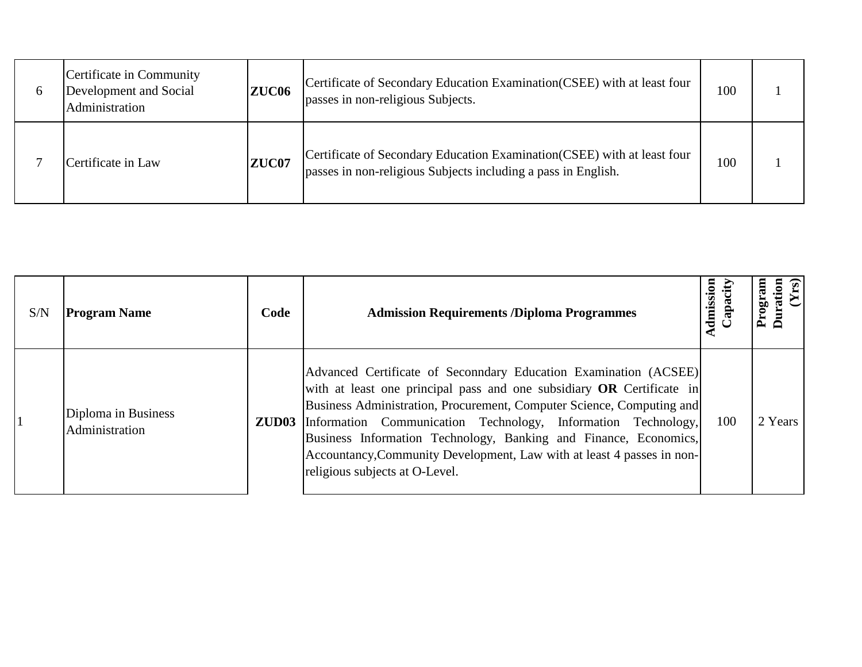| Certificate in Community<br>Development and Social<br>Administration | ZUC <sub>06</sub> | Certificate of Secondary Education Examination (CSEE) with at least four<br>passes in non-religious Subjects.                             | 100 |  |
|----------------------------------------------------------------------|-------------------|-------------------------------------------------------------------------------------------------------------------------------------------|-----|--|
| Certificate in Law                                                   | ZUC07             | Certificate of Secondary Education Examination (CSEE) with at least four<br>passes in non-religious Subjects including a pass in English. | 100 |  |

| S/N | <b>Program Name</b>                   | Code | <b>Admission Requirements /Diploma Programmes</b>                                                                                                                                                                                                                                                                                                                                                                                                                                | Admission<br>Capacity | $\mathbf{r}$ |
|-----|---------------------------------------|------|----------------------------------------------------------------------------------------------------------------------------------------------------------------------------------------------------------------------------------------------------------------------------------------------------------------------------------------------------------------------------------------------------------------------------------------------------------------------------------|-----------------------|--------------|
|     | Diploma in Business<br>Administration |      | Advanced Certificate of Seconndary Education Examination (ACSEE)<br>with at least one principal pass and one subsidiary OR Certificate in<br>Business Administration, Procurement, Computer Science, Computing and<br><b>ZUD03</b> Information Communication Technology, Information Technology,<br>Business Information Technology, Banking and Finance, Economics,<br>Accountancy, Community Development, Law with at least 4 passes in non-<br>religious subjects at O-Level. | 100                   | 2 Years      |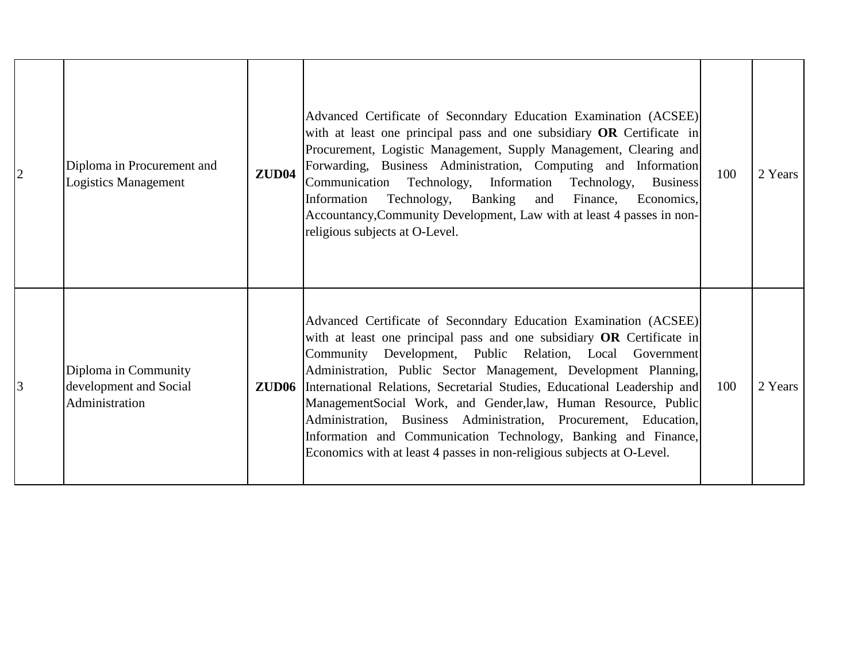| 2 | Diploma in Procurement and<br><b>Logistics Management</b>        | <b>ZUD04</b> | Advanced Certificate of Seconndary Education Examination (ACSEE)<br>with at least one principal pass and one subsidiary OR Certificate in<br>Procurement, Logistic Management, Supply Management, Clearing and<br>Forwarding, Business Administration, Computing and Information<br>Communication Technology, Information Technology,<br><b>Business</b><br>Information Technology, Banking and Finance,<br>Economics,<br>Accountancy, Community Development, Law with at least 4 passes in non-<br>religious subjects at O-Level.                                                                                                                  | 100 | 2 Years |
|---|------------------------------------------------------------------|--------------|-----------------------------------------------------------------------------------------------------------------------------------------------------------------------------------------------------------------------------------------------------------------------------------------------------------------------------------------------------------------------------------------------------------------------------------------------------------------------------------------------------------------------------------------------------------------------------------------------------------------------------------------------------|-----|---------|
| 3 | Diploma in Community<br>development and Social<br>Administration |              | Advanced Certificate of Seconndary Education Examination (ACSEE)<br>with at least one principal pass and one subsidiary OR Certificate in<br>Community Development, Public Relation, Local Government<br>Administration, Public Sector Management, Development Planning,<br><b>ZUD06</b> International Relations, Secretarial Studies, Educational Leadership and<br>ManagementSocial Work, and Gender, law, Human Resource, Public<br>Administration, Business Administration, Procurement, Education,<br>Information and Communication Technology, Banking and Finance,<br>Economics with at least 4 passes in non-religious subjects at O-Level. | 100 | 2 Years |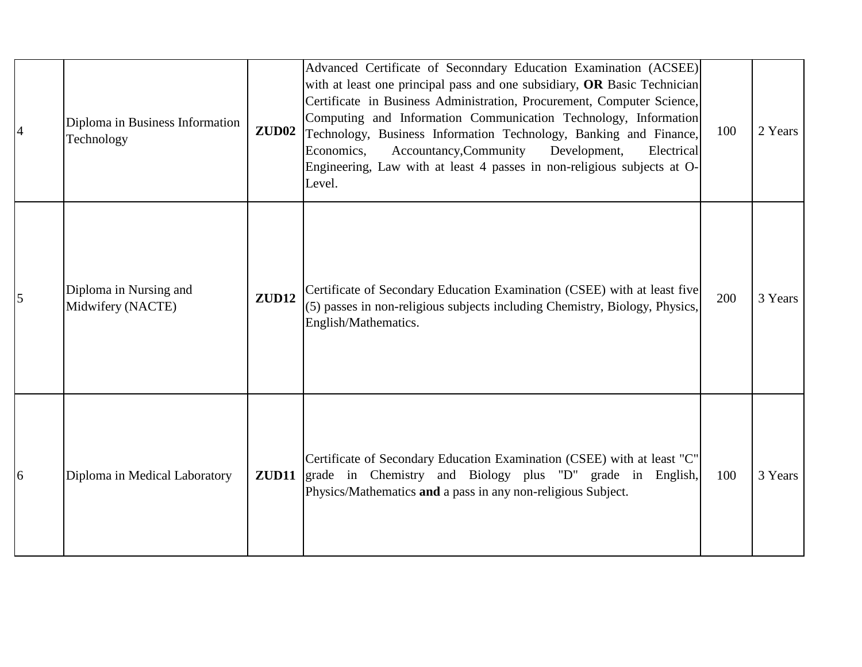| $\overline{A}$ | Diploma in Business Information<br>Technology | ZUD <sub>02</sub> | Advanced Certificate of Seconndary Education Examination (ACSEE)<br>with at least one principal pass and one subsidiary, OR Basic Technician<br>Certificate in Business Administration, Procurement, Computer Science,<br>Computing and Information Communication Technology, Information<br>Technology, Business Information Technology, Banking and Finance,<br>Economics,<br>Accountancy, Community<br>Development,<br>Electrical<br>Engineering, Law with at least 4 passes in non-religious subjects at O-<br>Level. | 100 | 2 Years |
|----------------|-----------------------------------------------|-------------------|---------------------------------------------------------------------------------------------------------------------------------------------------------------------------------------------------------------------------------------------------------------------------------------------------------------------------------------------------------------------------------------------------------------------------------------------------------------------------------------------------------------------------|-----|---------|
| 5              | Diploma in Nursing and<br>Midwifery (NACTE)   | <b>ZUD12</b>      | Certificate of Secondary Education Examination (CSEE) with at least five<br>(5) passes in non-religious subjects including Chemistry, Biology, Physics,<br>English/Mathematics.                                                                                                                                                                                                                                                                                                                                           | 200 | 3 Years |
| 6              | Diploma in Medical Laboratory                 | ZUD11             | Certificate of Secondary Education Examination (CSEE) with at least "C"<br>grade in Chemistry and Biology plus "D" grade in English,<br>Physics/Mathematics and a pass in any non-religious Subject.                                                                                                                                                                                                                                                                                                                      | 100 | 3 Years |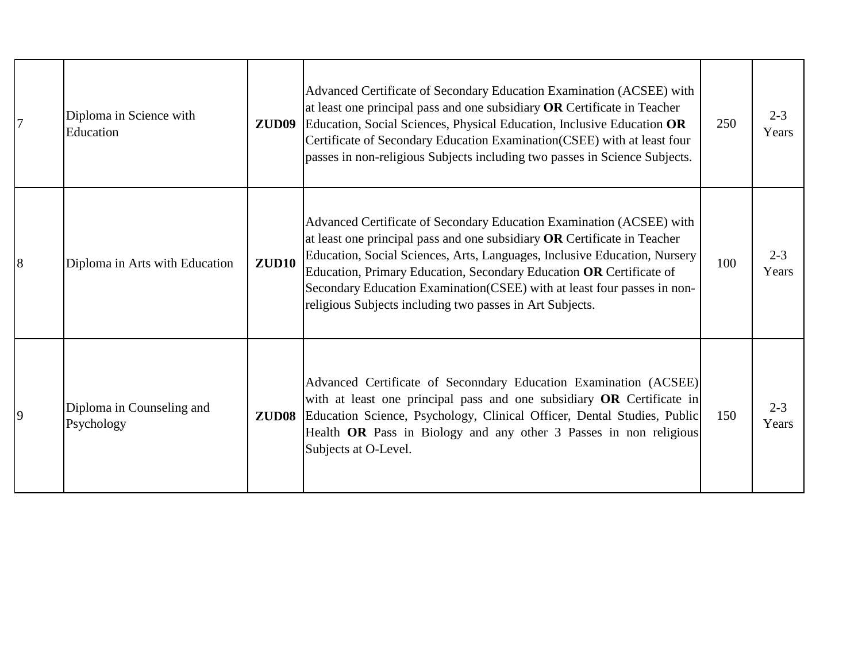| $\overline{7}$ | Diploma in Science with<br>Education    | ZUD <sub>09</sub> | Advanced Certificate of Secondary Education Examination (ACSEE) with<br>at least one principal pass and one subsidiary OR Certificate in Teacher<br>Education, Social Sciences, Physical Education, Inclusive Education OR<br>Certificate of Secondary Education Examination(CSEE) with at least four<br>passes in non-religious Subjects including two passes in Science Subjects.                                                         | 250 | $2 - 3$<br>Years |
|----------------|-----------------------------------------|-------------------|---------------------------------------------------------------------------------------------------------------------------------------------------------------------------------------------------------------------------------------------------------------------------------------------------------------------------------------------------------------------------------------------------------------------------------------------|-----|------------------|
| 8              | Diploma in Arts with Education          | ZUD10             | Advanced Certificate of Secondary Education Examination (ACSEE) with<br>at least one principal pass and one subsidiary OR Certificate in Teacher<br>Education, Social Sciences, Arts, Languages, Inclusive Education, Nursery<br>Education, Primary Education, Secondary Education OR Certificate of<br>Secondary Education Examination(CSEE) with at least four passes in non-<br>religious Subjects including two passes in Art Subjects. | 100 | $2 - 3$<br>Years |
| $\overline{9}$ | Diploma in Counseling and<br>Psychology |                   | Advanced Certificate of Seconndary Education Examination (ACSEE)<br>with at least one principal pass and one subsidiary OR Certificate in<br>ZUD08 Education Science, Psychology, Clinical Officer, Dental Studies, Public<br>Health OR Pass in Biology and any other 3 Passes in non religious<br>Subjects at O-Level.                                                                                                                     | 150 | $2 - 3$<br>Years |